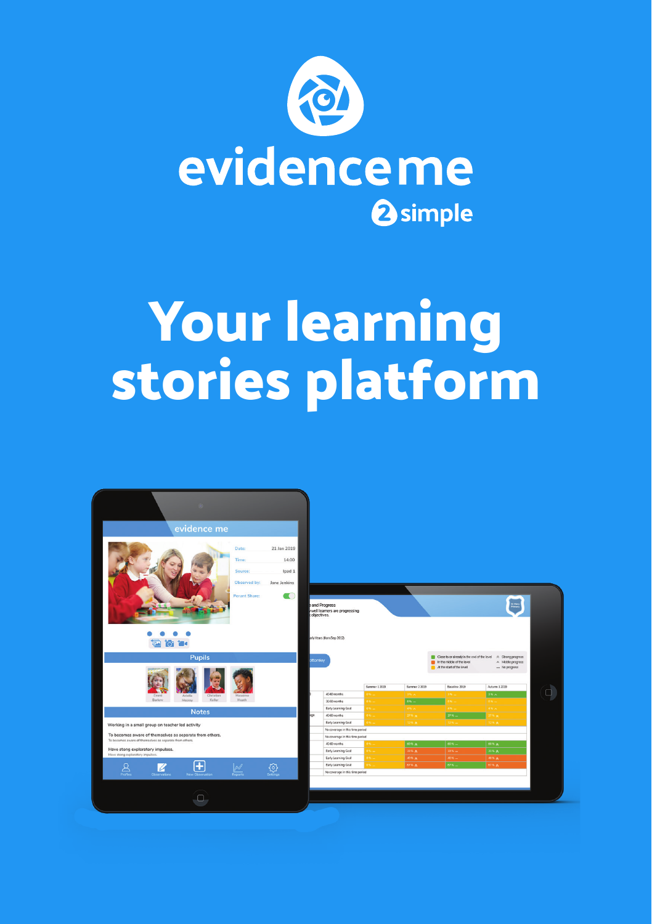

## **Your learning stories platform**